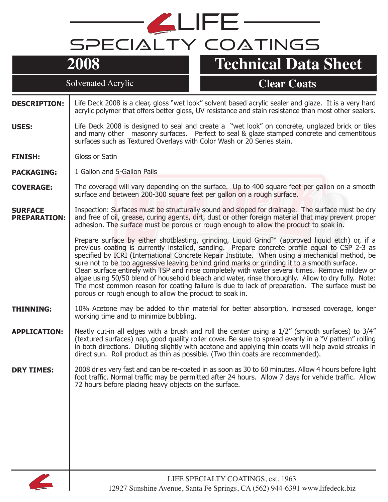# LIFE SPECIALTY COATINGS

### **2008**

## **Technical Data Sheet**

Solvenated Acrylic **Clear Coats**

**DESCRIPTION:** Life Deck 2008 is a clear, gloss "wet look" solvent based acrylic sealer and glaze. It is a very hard acrylic polymer that offers better gloss, UV resistance and stain resistance than most other sealers.

- **USES:** Life Deck 2008 is designed to seal and create a "wet look" on concrete, unglazed brick or tiles and many other masonry surfaces. Perfect to seal & glaze stamped concrete and cementitous surfaces such as Textured Overlays with Color Wash or 20 Series stain.
- **FINISH:** Gloss or Satin
- **PACKAGING:** 1 Gallon and 5-Gallon Pails
- **COVERAGE:** The coverage will vary depending on the surface. Up to 400 square feet per gallon on a smooth surface and between 200-300 square feet per gallon on a rough surface.

#### **SURFACE PREPARATION:** Inspection: Surfaces must be structurally sound and sloped for drainage. The surface must be dry and free of oil, grease, curing agents, dirt, dust or other foreign material that may prevent proper adhesion. The surface must be porous or rough enough to allow the product to soak in.

Prepare surface by either shotblasting, grinding, Liquid Grind™ (approved liquid etch) or, if a previous coating is currently installed, sanding. Prepare concrete profile equal to CSP 2-3 as specified by ICRI (International Concrete Repair Institute. When using a mechanical method, be sure not to be too aggressive leaving behind grind marks or grinding it to a smooth surface. Clean surface entirely with TSP and rinse completely with water several times. Remove mildew or algae using 50/50 blend of household bleach and water, rinse thoroughly. Allow to dry fully. Note: The most common reason for coating failure is due to lack of preparation. The surface must be porous or rough enough to allow the product to soak in.

#### **THINNING:** 10% Acetone may be added to thin material for better absorption, increased coverage, longer working time and to minimize bubbling.

**APPLICATION:** Neatly cut-in all edges with a brush and roll the center using a  $1/2''$  (smooth surfaces) to  $3/4''$ (textured surfaces) nap, good quality roller cover. Be sure to spread evenly in a "V pattern" rolling in both directions. Diluting slightly with acetone and applying thin coats will help avoid streaks in direct sun. Roll product as thin as possible. (Two thin coats are recommended).

### **DRY TIMES:** 2008 dries very fast and can be re-coated in as soon as 30 to 60 minutes. Allow 4 hours before light foot traffic. Normal traffic may be permitted after 24 hours. Allow 7 days for vehicle traffic. Allow 72 hours before placing heavy objects on the surface.